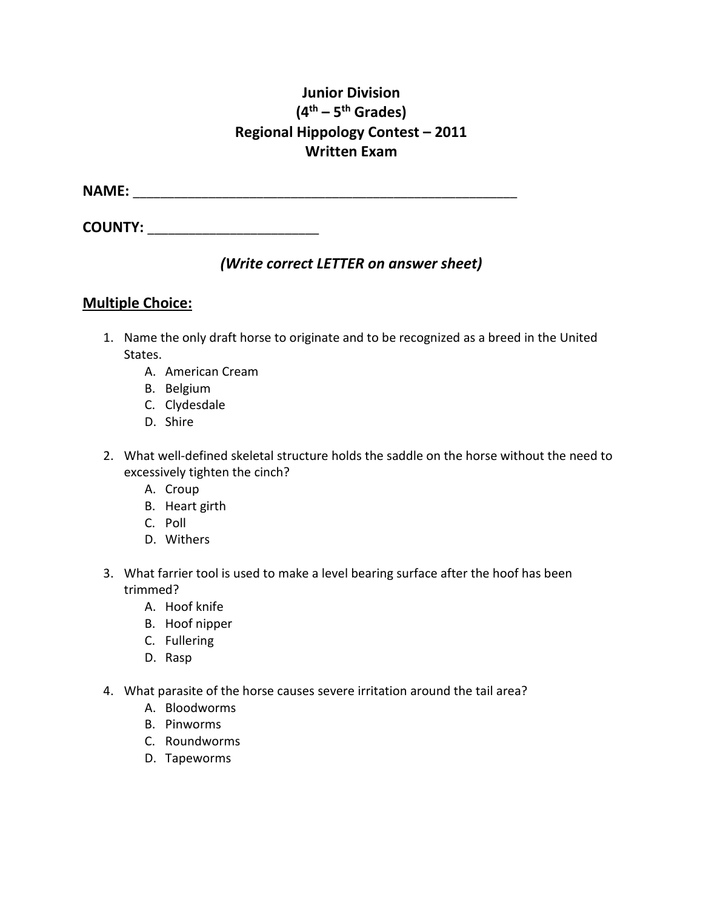## **Junior Division (4th – 5th Grades) Regional Hippology Contest – 2011 Written Exam**

**NAME:** \_\_\_\_\_\_\_\_\_\_\_\_\_\_\_\_\_\_\_\_\_\_\_\_\_\_\_\_\_\_\_\_\_\_\_\_\_\_\_\_\_\_\_\_\_\_\_\_\_\_\_\_\_\_\_\_

**COUNTY:**  $\blacksquare$ 

## *(Write correct LETTER on answer sheet)*

## **Multiple Choice:**

- 1. Name the only draft horse to originate and to be recognized as a breed in the United States.
	- A. American Cream
	- B. Belgium
	- C. Clydesdale
	- D. Shire
- 2. What well-defined skeletal structure holds the saddle on the horse without the need to excessively tighten the cinch?
	- A. Croup
	- B. Heart girth
	- C. Poll
	- D. Withers
- 3. What farrier tool is used to make a level bearing surface after the hoof has been trimmed?
	- A. Hoof knife
	- B. Hoof nipper
	- C. Fullering
	- D. Rasp
- 4. What parasite of the horse causes severe irritation around the tail area?
	- A. Bloodworms
	- B. Pinworms
	- C. Roundworms
	- D. Tapeworms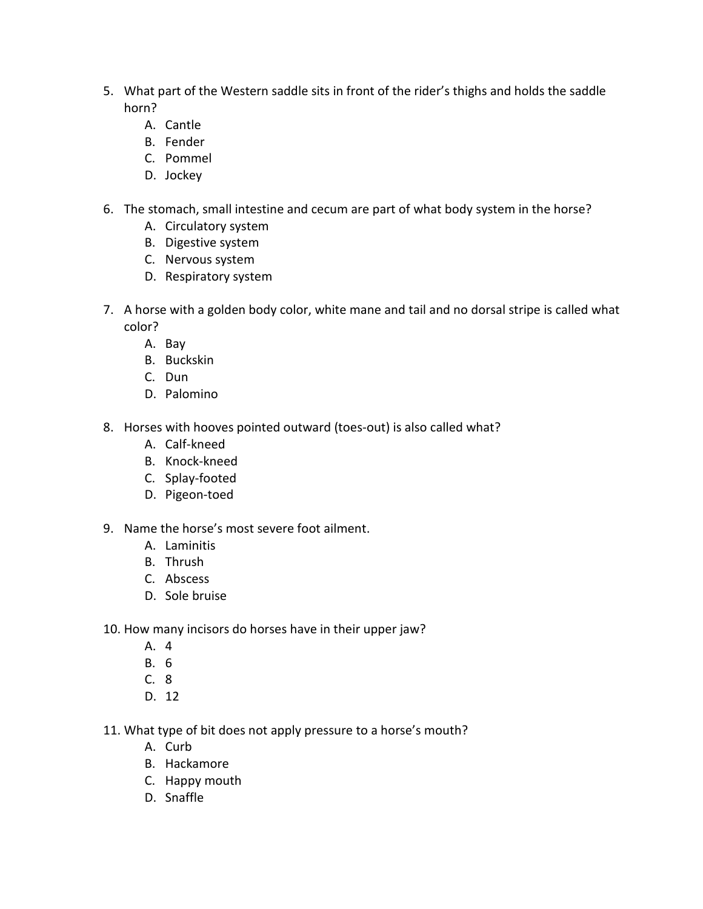- 5. What part of the Western saddle sits in front of the rider's thighs and holds the saddle horn?
	- A. Cantle
	- B. Fender
	- C. Pommel
	- D. Jockey
- 6. The stomach, small intestine and cecum are part of what body system in the horse?
	- A. Circulatory system
	- B. Digestive system
	- C. Nervous system
	- D. Respiratory system
- 7. A horse with a golden body color, white mane and tail and no dorsal stripe is called what color?
	- A. Bay
	- B. Buckskin
	- C. Dun
	- D. Palomino
- 8. Horses with hooves pointed outward (toes-out) is also called what?
	- A. Calf-kneed
	- B. Knock-kneed
	- C. Splay-footed
	- D. Pigeon-toed
- 9. Name the horse's most severe foot ailment.
	- A. Laminitis
	- B. Thrush
	- C. Abscess
	- D. Sole bruise
- 10. How many incisors do horses have in their upper jaw?
	- A. 4
	- B. 6
	- C. 8
	- D. 12
- 11. What type of bit does not apply pressure to a horse's mouth?
	- A. Curb
	- B. Hackamore
	- C. Happy mouth
	- D. Snaffle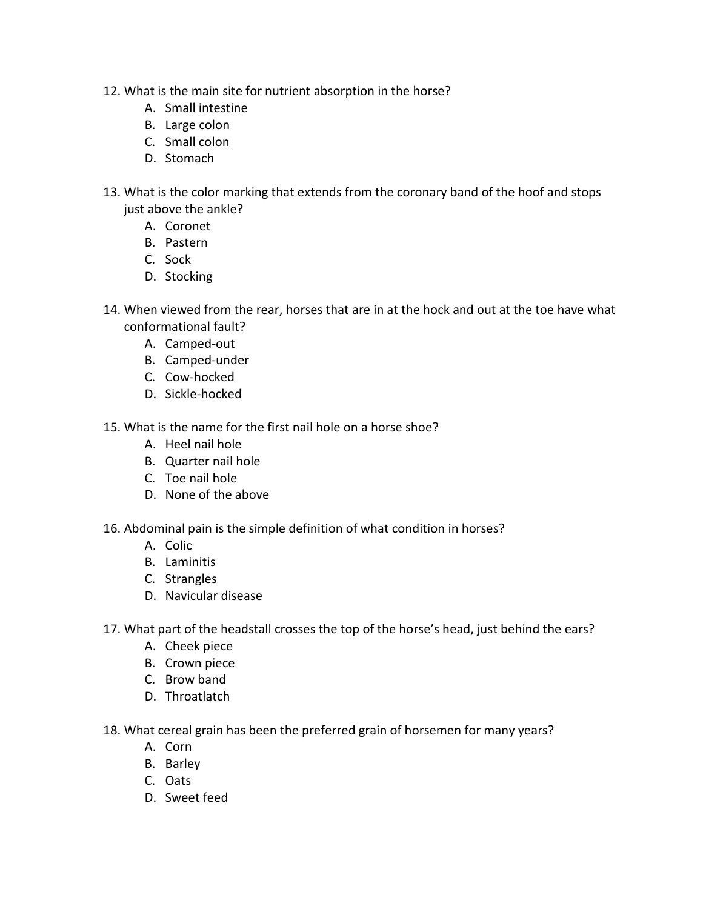- 12. What is the main site for nutrient absorption in the horse?
	- A. Small intestine
	- B. Large colon
	- C. Small colon
	- D. Stomach
- 13. What is the color marking that extends from the coronary band of the hoof and stops just above the ankle?
	- A. Coronet
	- B. Pastern
	- C. Sock
	- D. Stocking
- 14. When viewed from the rear, horses that are in at the hock and out at the toe have what conformational fault?
	- A. Camped-out
	- B. Camped-under
	- C. Cow-hocked
	- D. Sickle-hocked
- 15. What is the name for the first nail hole on a horse shoe?
	- A. Heel nail hole
	- B. Quarter nail hole
	- C. Toe nail hole
	- D. None of the above
- 16. Abdominal pain is the simple definition of what condition in horses?
	- A. Colic
	- B. Laminitis
	- C. Strangles
	- D. Navicular disease
- 17. What part of the headstall crosses the top of the horse's head, just behind the ears?
	- A. Cheek piece
	- B. Crown piece
	- C. Brow band
	- D. Throatlatch
- 18. What cereal grain has been the preferred grain of horsemen for many years?
	- A. Corn
	- B. Barley
	- C. Oats
	- D. Sweet feed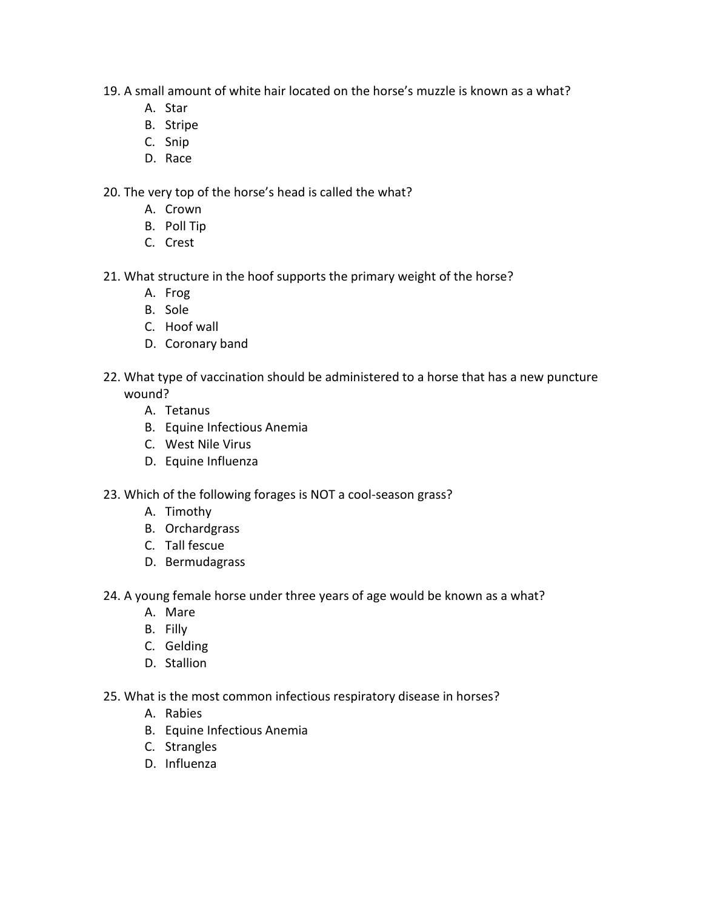- 19. A small amount of white hair located on the horse's muzzle is known as a what?
	- A. Star
	- B. Stripe
	- C. Snip
	- D. Race

20. The very top of the horse's head is called the what?

- A. Crown
- B. Poll Tip
- C. Crest
- 21. What structure in the hoof supports the primary weight of the horse?
	- A. Frog
	- B. Sole
	- C. Hoof wall
	- D. Coronary band
- 22. What type of vaccination should be administered to a horse that has a new puncture wound?
	- A. Tetanus
	- B. Equine Infectious Anemia
	- C. West Nile Virus
	- D. Equine Influenza
- 23. Which of the following forages is NOT a cool-season grass?
	- A. Timothy
	- B. Orchardgrass
	- C. Tall fescue
	- D. Bermudagrass
- 24. A young female horse under three years of age would be known as a what?
	- A. Mare
	- B. Filly
	- C. Gelding
	- D. Stallion
- 25. What is the most common infectious respiratory disease in horses?
	- A. Rabies
	- B. Equine Infectious Anemia
	- C. Strangles
	- D. Influenza